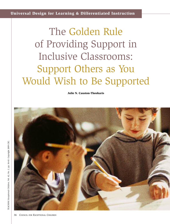## **Universal Design for Learning & Differentiated Instruction**

The Golden Rule of Providing Support in Inclusive Classrooms: Support Others as You Would Wish to Be Supported

**Julie N. Causton-Theoharis**

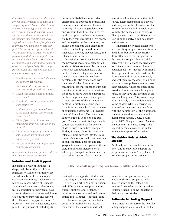*Consider for a moment that the school system paid someone to be with you supporting you 8 hours a day, 5 days a week. Now, imagine that you had no say over who that support person was or how she or he supported you. Or imagine that someone regularly stopped into your place of employment to provide you with one-on-one support. This person was present for all your interactions, escorted you to the restroom, and at times supported you by touching your back or shoulder or by manipulating your hands, head, or other parts of your body. This support person might also give you oral directions for upcoming tasks.*

- *• Would you become more independent or more dependent?*
- *• How would this support change your relationships with your peers?*
- *• Would you notice a loss of privacy or freedom?*
- *• Would this person's presence affect your creativity?*
- *• At times, would you feel self-conscious about having someone supporting you?*
- *• What if you asked him or her to move away from you and he or she did not?*
- *• What would happen if you did not want him or her to touch you?*
- *• What would you do?*
- *• Do you think that you might develop negative behaviors?*

*Now consider how your presence affects the students whom you support.*

#### **Inclusion and Adult Support**

Inclusion is a way of thinking—a deeply held belief that all children, regardless of ability or disability, are valued members of the school and classroom community. Inclusive classrooms are places where all students "are integral members of classrooms, feel a connection to their peers, have access to rigorous and meaningful general education curricula and receive the collaborative support to succeed" (Causton-Theoharis & Theoharis, 2008, p. 26). One purpose of including students with disabilities in inclusive classrooms, as opposed to segregating them in special education classrooms, is to help all students (students with and without disabilities) learn to live, work, and play together so that eventually they can successfully live, work, and be together in the community as adults. For students with disabilities, inclusive schooling should promote intellectual growth, independence, and interaction with peers.

Inclusion is also a practice that puts the preceding ideals into place for all students. What are these ideas in practice? How can educators help a student feel like an integral member of the classroom? How can students develop authentic connections with their peers? What does access to meaningful general education curricula mean? And most important, what are the most effective ways to support students to help them reach these goals?

Because 54% of the 6 million students with disabilities spend more than 80% of their school day in general education classrooms (U.S. Department of Education, 2006), a common support strategy is one-on-one support. The current ratio is 1 special education paraprofessional for every 17 students with disabilities (Giangreco, Hurley, & Suter, 2009). But as schools integrate more services into the classroom, adult support will also involve a special educator, a speech and language clinician, an occupational therapist, and physical therapists or a school psychologist. In this article, the term *adult support* refers to any pro-

educators allow them to be their full selves. Their membership is a given, and everyone in the classroom works together in visible and invisible ways to make the dance appear effortless. The opposite is also true. When inclusion is done poorly, it can be choppy and unnatural.

I increasingly witness adults who are furnishing support to students with disabilities but who unnecessarily draw attention to that support or to the need for support that the adult perceives. Their actions are frequently too intensive and invasive. Too often, educators cluster students with disabilities together at one table, awkwardly flank them with a paraprofessional, and seat them by the door; or an adult physically manipulates them to correct their behavior. Adults are often unnecessarily close to students during lectures, or they give oral prompts at an overwhelming rate. This invasive support invariably draws undue attention to the student who is receiving support and at the same time interferes with the natural flow of the classroom, student interaction, and community membership (Broer, Doyle, & Giangreco, 2005; Giangreco, Yuan, McKenzie, Cameron, & Fialka, 2005). When support becomes invasive, it undermines the purposes of inclusion.

## **The Golden Rule of Adult Support**

Adult help can be seamless and effective—and thereby fully support the purposes of inclusion. The golden rule for adult support in inclusive class-

## **Effective adult support requires finesse, subtlety, and elegance.**

fessional who supports a student with a disability in an inclusive classroom.

There is an art to "doing" inclusion well. Effective adult support requires finesse, subtlety, and elegance. It requires the most nuanced and careful action and—at times—inaction. Effective classroom support means that students with disabilities are integral members of the classroom and that

rooms is to support others as you would wish to be supported. Adequately applying the golden rule requires knowledge and imagination. Educators need to know the effect of their actions on students.

#### **Rationale for Fading Support**

This article next discusses the need for fading support, as reflected in the liter-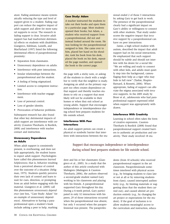ature. Fading assistance means systematically reducing the type and level of support given to a student. Fading support can reduce the negative impact of adult support and allow for more natural supports to occur. The research in fading support is clear. Invasive adult support has had inadvertent detrimental effects on students with disabilities. Giangreco, Edelman, Luiselli, and MacFarland (1997) listed the following detrimental effects of paraprofessional proximity:

- Separation from classmates.
- Unnecessary dependence on adults.
- Interference with peer interactions.
- Insular relationships between the paraprofessional and the student.
- A feeling of being stigmatized.
- Limited access to competent instruction.
- Interference with teacher engagement.
- Loss of personal control.
- Loss of gender identity.
- Provocation of behavior problems.

Subsequent research has also found that other key detrimental impacts of adult support are interference with creativity (Causton-Theoharis, & Burdick, 2008) and interference with teacher contact and instruction.

#### **Unnecessary Dependence on Adults**

When adult support is consistently present, is overbearing, and does not fade appropriately, the student learns to expect adult support. Psychologists have called this phenomenon *learned helplessness*; that is, behavior resulting from a perceived absence of control over the outcome of a situation (Seligman, 1975). Students quickly perceive their own lack of control and learn to wait for cues, direction, or prompting from an adult before engaging with the material. Giangreco et al. (2005) call this phenomenon *unnecessary dependence* (see box, "Case Study: Adam" for an example of unnecessary dependence). Alternatives to having a paraprofessional open a student's book include asking a peer to help, marking

#### **Case Study: Adam**

A teacher instructed the students to take out their books and open them to a particular page. Most students opened their books; but Adam, a student who received support from a paraprofessional, did not and instead looked around the room. He was looking for the paraprofessional assigned to him. She came over to him, placed her hand on his shoulder, took his book from his desk, placed the book on his desk, repeated the page number, and opened the book to the correct page.

the page with a sticky note, or asking all the students to check with a neighbor to verify that the neighbor is ready. Assigning an adult as the primary support too often creates dependence on that support and thereby teaches students to rely on a support that most likely will not be available in their homes or when they exit school as young adults. Support that encourages independence or interdependence during school best prepares students for life outside school.

## **Interference With Peer Interactions**

An adult support person can create a physical or symbolic barrier that interferes with interactions between the stu-

sional ended 2 of those 3 interactions by asking Gary to get back to work. The presence of the paraprofessional clearly had a significant impact on Gary's ability or willingness to connect with other students. That study underscores the negative impact that invasive support by a paraprofessional can have on peer interactions.

Jamie, a high school student with autism, described the impact that adult support had on his social interactions. He emphasized that such support should be subtle and should not interfere with his desire for a social life: "We are willing and ready to connect with other kids, and adults must quietly step into the background, camouflaging their help as a tiger who may hide in full view" (Tashie, Shapiro-Barnard, & Rossetti, 2006). When appropriate, fading of support can alleviate the stigma associated with invasive supports. In the 2005 study by Broer et al., adolescents who had paraprofessional support expressed relief when support was appropriately withdrawn.

#### **Interference With Creativity**

Learning in school often takes the form of creative expression. Causton-Theoharis & Burdick (2008) found that paraprofessional support created barriers to authentic art production and creativity. Their study involved 18 stu-

**Support that encourages independence or interdependence during school best prepares students for life outside school.**

dent and his or her classmates (Giangreco et al., 2005). In a study that the author of this article conducted with Malmgren (Malmgren & Causton-Theoharis, 2006), the authors observed a second-grade student named Gary working in his classroom and playing with his friends. A paraprofessional supported Gary throughout his day. During a 4-week period, Gary participated in only 32 interactions with his peers; 29 of those interactions occurred when the paraprofessional was absent, but only 3 occurred when the paraprofessional was present. The paraprofesdents (from 10 schools) who received paraprofessional support in the art classroom. Paraprofessionals sometimes interfered with physical access (e.g., by bringing students to class late or not at all or by removing students from class); caused interrupted authenticity (e.g., by limiting materials or suggesting ideas that the student then carried out); and caused altered art production entirely (e.g., by changing the art project or expectations for the student). If the goal of inclusion is to allow students meaningful access to the curriculum and instruction, educa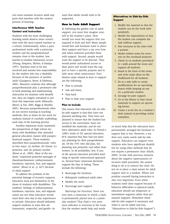tors must examine invasive adult supports that interfere with the creative process of learning.

## **Interference With Teacher Contact and Instruction**

Students with the most challenging learning needs deserve more contact time with the most trained teachers in a school. Unfortunately, when a paraprofessional works with a particular student and the paraprofessional remains close to the student, less teacher-to-student interaction occurs (Young, Simpson, Mylers, & Kamps, 1997). Teachers tend to be less involved and assume less responsibility for the student who has a disability because of the presence of another adult (Giangreco, Broer, & Edelman, 2001). Research confirms that although paraprofessionals play a prominent role in both planning and implementing instruction for students with disabilities, they are largely untrained to perform this important work (Minondo, Meyer, & Xin, 2001; Riggs & Mueller, 2001). Because paraprofessionals often do not receive training in teaching methods, they at times do the work for students instead of carefully scaffolding each step of the learning process.

Another important study examined the perspectives of high school students with disabilities who attended general education classes with paraprofessional support. These students described their paraprofessionals' roles in four ways: (a) mother, (b) friend, (c) protector, and (d) primary teacher (Broer et al., 2005). Most of the students "expressed powerful messages of disenfranchisement, embarrassment, loneliness, rejection, fear, and stigmatization" (Broer et al., p. 427) because of adult support.

To address the problem of the potential damage of invasive supports, educators must put themselves in the shoes of students with disabilities. The students' feelings of embarrassment, loneliness, rejection, fear, and stigmatization are not what educators would want their own day-to-day experiences to include. Educators should definitely support students in ways that are humanistic, respectful, and gentle—in

ways that adults would wish to be supported.

## **How to Fade Adult Support**

In following the golden rule of adult support, you must first imagine yourself in the student's place. How would you want the support that you required to look and feel? Many people would first and foremost want to direct their support and have a say over how and when someone provided them with support. Second, people would want the support to be discreet. They would prefer unhindered access to their peers and would want the support to have a specific purpose and to fade away when unnecessary. Four distinct steps related to how to support are the following:

- Plan to include.
- Ask and listen.
- Step back.
- Plan to fade your support.

## **Plan to Include**

One reason that educators rely on sideby-side support is that they have not planned anything else. They have not planned to ensure that the student has access to the curriculum, have not modified the materials, and do not have alternative adult roles. In French's (2001) study of 321 special educators, 81% reported that they had not done any planning for their paraprofessionals. Of the 19% who did plan, the planning was primarily oral rather than written. In all probability, few, if any, of the special educators provided modeling of specific instructional approaches. Several basic classroom decisions support the idea of fading. These include the following:

- Rearrange the furniture.
- Relinquish traditional adult roles.
- Modify the work.
- Encourage peer support.

*Rearrange the Furniture.* Have you ever seen a classroom in which a chair is permanently placed next to a particular student? That chair's very presence indicates to everyone in the room that the student needs help and needs

## **Alternatives to Side-by-Side Support**

- 1. Modify the material so that the student can do the work independently.
- 2. Modify the expectations so that the student can complete the task without support.
- 3. Pair everyone in the class with a partner.
- 4. Model written notes for everyone on the overhead projector.
- 5. Check in on students periodically—walk around the room and support all students.
- 6. Stand in the front of the room, and write main ideas on the chalkboard for all students.
- 7. Sit at a side table to create modifications for an upcoming lesson while keeping an eye on a particular student.
- 8. Arrange for peer support.
- 9. Go to the library to find visual materials to support an upcoming lesson.
- 10. Create a to-do list on a student's desk instead of providing verbal reminders.

so much help that the educators have permanently arranged the furniture to support him or her. However, a student very rarely needs side-by-side support. Educators can support even students who have significant disabilities by using other methods that do not require a permanent chair (Kluth, 2005). In line with previous research about the negative repercussions of invasive adult proximity, the easiest thing to do is to remove the chair. Do not sit or place a chair meant for adult support next to a student. Where you position yourself during instruction is also very important. Even when students need close support because of behavior difficulties or physical needs, educators should use temporary or intermittent supports rather than permanent supports. Determine when side-by-side support is necessary and when it can be faded (see box, "Alternatives to Side-by-Side Support").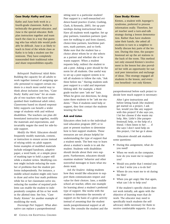#### **Case Study: Kathy and June**

Kathy and June both work in a fourth-grade classroom. Kathy is technically the general educator, and June is the special educator. Both plan instruction together and team teach the class in a way that guessing who has which title would probably be difficult. June is as likely to teach in front of the whole class as Kathy is to help a student use the restroom. They have completely transcended their traditional roles and share responsibilities equally.

*Relinquish Traditional Adult Roles.* Building the capacity for all adults to work together instead of assigning specific personnel to support certain students is a much more useful way to think about inclusion (see box, "Case Study: Kathy and June" for an example of two teachers who have relinquished their traditional adult roles). Classrooms based on shared responsibility supports can benefit a wider range of students with and without disabilities. The teachers can plan differentiated instruction together, modify the materials and expectations, and invariably negate the need for side-byside support.

*Modify the Work.* Educators should frequently modify materials, content, or instruction to ensure access instead of relying solely on adult support. Some examples of modified materials include enlarged handouts, adaptive paper, a word bank, or a simple piece of masking tape to hold a paper still while a student writes. Modifying content might include reducing the number of problems that the student performs independently. For instance, a middle school student might only have to draw and solve four math problems while his or her classmates solve six; reducing the number of required problems can enable the student to independently complete all his or her work in the allotted time. See box, "Case Study: Kirsten" for another example of modifying the work.

*Encourage Peer Support.* What alternative can replace a paraprofessional

sitting next to a particular student? Peer support is a well-researched evidence-based practice (Carter, Cushing, Clark, & Kennedy, 2005). Set up partnerships during instructional time. Have all students work together. Set up play partners, transition partners (partners for walking to and from classes), choice-time partners, lunchtime partners, math partners, and so forth. Make sure that the student has a choice about whom he or she selects as a partner and whether she or he wants support. When a student requests help, redirect the student to ask a peer. Asking a peer should be the norm for all students. One useful way to set up a peer-support system is to tell all students to follow the rule, "Ask three before me." Having students seek peer support is a valid and important lifelong skill. For example, a thirdgrade teacher uses "ask me" hats. When he gives out directions, he designates three students to be "ask me students." Then if students need help or support, they first contact the students wearing the hats.

## **Ask and Listen**

Educators often look to the individualized education program (IEP) or to past or present teachers to determine how to best support students. These resources are not always helpful for understanding the type of support that a student needs. The best way to learn about a student's needs is to ask the student. Students with disabilities should decide about their own supports. Furthermore, educators should examine students' behavior and other nonverbal messages to learn what students want.

*Ask the Student.* Asking students how they would like educators to support them communicates respect and value for their choices. Jane, a middle school art teacher, offers one example for learning about a student's preferred type of support. She works with the student to determine the necessity of support on the basis of a given activity instead of assuming that the student needs paraprofessional support at all times. She consults the student and the

#### **Case Study: Kirsten**

Kirsten, a student with Asperger's syndrome, preferred to process information orally. Therefore, her art teacher used a turn-and-talk strategy during a lesson demonstration. Rather than have students raise their hands, she asked all students to turn to a neighbor to briefly discuss key parts of the lesson. During this time, the paraprofessional set up the art stations in the back of the room. This method not only ensured Kirsten's involvement in the lesson but also provided her with an opportunity for natural peer interaction and exchange of ideas. This strategy engaged all students in the lesson, and everyone benefited—not only Kirsten.

paraprofessional before each project to decide how much support is necessary:

After I give instructions and before letting Sarah [the student] get started on a project, I ask her, would you like any support with this project? If she says yes, I let her choose if she wants my help, Mrs. Little's [the paraprofessional] help, or the help of a friend. I then listen to her . . . if she says I don't need help on this project, I let her go it alone.

Educators should ask students some questions:

- During this assignment, what do you need?
- When we work on the computer, how do you want me to support you?
- Would you prefer that I remind you or that I write you a to-do list?
- Where do you want me to sit during the film?
- When you get angry like that again, what can I do to help you?

If the student's specific choice does not work initially, ask again with the objective of learning ways that do work. The educator may need to specifically teach students the selfadvocacy skills necessary for them to receive comfortable supports. If a stu-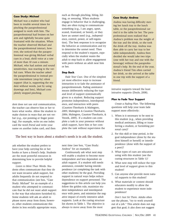#### **Case Study: Michael**

Michael was a student who had been in trouble several times for pinching the paraprofessional assigned to work with him. The paraprofessional had bruises on her arm and rightfully became quite frustrated with the situation. When the teacher observed Michael and the paraprofessional interact, however, she noticed that the paraprofessional was giving Michael verbal cues in a loud, shrill voice at a rate of more than 10 cues a minute. Michael, who had autism and sound sensitivities, was reacting to the verbal cues. When the teacher asked the paraprofessional to instead provide intermittent (stop-by) silent support (that is, supporting the student without words, just by using drawings and lists), Michael completely stopped pinching.

dent does not use oral communication, the teacher can observe him or her to learn what works. Allow the student to make choices in ways that are not verbal (e.g., eye pointing or finger pointing). For example, write on one index card the word *friend* and write your name on another index card, and then

such as through pinching, biting, hitting, or swearing. When students engage in behavior that is challenging, they are often trying to communicate something (e.g., I am angry, upset, scared, frustrated, or bored), or they have an unmet need (e.g., independence, control, power, or self-regulation). The best response is to recognize the behavior as communication and try to determine the unmet need. Then respond to the student's request, especially when the student wants the adult to step back to allow engagement with peers without an adult near him or her.

## **Step Back**

*Fade Your Cues.* One of the simplest yet most effective ways to increase interaction is to fade the assistance of paraprofessionals. Fading assistance means deliberately reducing the type and level of support systematically given to a student. Reducing support promotes independence, interdependence, and interaction with peers (Causton-Theoharis & Malmgren, 2005; Malmgren & Causton-Theoharis, 2006; Malmgren, Causton-Theoharis, & Trezek, 2005). If a student can complete a task in your presence without adult support, have him or her complete the task without supervision the

## **The best way to learn about a student's needs is to ask the student.**

ask whether the student prefers to have your help carrying his or her books or have a friend's help. Students are the most powerful resources in determining how to provide helpful support.

*Listen to More Than Words.* Students often communicate that they do not want invasive adult support, but adults frequently do not respond to that communication (see box, "Case Study: Michael" for an example of a student who attempted to communicate that he did not want adult support in the way that educators furnished it). Some students will ask an adult to please move away from them; however, other students communicate this desire in less socially appropriate ways, next time (see box, "Case Study: Andrea" for an example).

Continuously ask what next step will enable a student to become more independent and less dependent on adult support. If a student still needs assistance, consider having interdependence (or completing the task with other students) be the goal. Providing support in natural ways helps reduce dependence on support personnel. The suggestions in this article can help you follow the golden rule, maximize student independence and interdependence with peers, and minimize the negative impact of overly intensive adult supports. Look at the cueing structure list shown in Table 1. The objective is always to move away from the most

## **Case Study: Andrea**

Andrea was having difficulty moving her lunch tray to the lunch table, so the paraprofessional carried it to the table for her. The paraprofessional soon realized that Andrea's problem was the weight of the tray and the drink, so she took the drink off the tray. Andrea was then able to carry her tray to her table independently. Andrea then decided she would take two trips (one with her tray and one with the beverage) without the paraprofessional's help. By the end of the year, Andrea's friend Tim often carried her drink, so she arrived at the table in one trip with the support of a friend.

intrusive supports toward the least intrusive supports (Doyle, 2008).

#### **Plan to Fade Your Support**

*Create a Fading Plan.* The following questions will help your team fade support more effectively:

- 1. When is it necessary to be next to this student (e.g., when providing medical assistance, lifting or transferring a student, or furnishing personal care)?
- 2. For this skill or time period, is the goal independence (done by the student himself or herself) or interdependence (done with the support of a peer)?
- 3. What types of cues are educators using with this student (see the cueing structures in Table 1)?
- 4. What next step will reduce the type and level of support given to this student?
- 5. Can anyone else provide more natural supports to this student?
- 6. What materials or content should educators modify to allow the student to experience more independence?

*Don't Just Sit There.* Adults often use the phrase, "try to work yourself out of a job." This article does not suggest that goal; it also does not suggest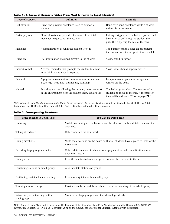| <b>Type of Support</b> | <b>Definition</b>                                                                                              | <b>Example</b>                                                                                                                       |
|------------------------|----------------------------------------------------------------------------------------------------------------|--------------------------------------------------------------------------------------------------------------------------------------|
| Full physical          | Direct and physical assistance used to support a<br>student                                                    | Hand-over-hand assistance while a student<br>writes his or her name                                                                  |
| Partial physical       | Physical assistance provided for some of the total<br>movement required for the activity                       | Putting a zipper into the bottom portion and<br>beginning to pull it up; the student then<br>pulls the zipper up the rest of the way |
| Modeling               | A demonstration of what the student is to do                                                                   | The paraprofessional does an art project;<br>the student uses the art project as a model                                             |
| Direct oral            | Oral information provided directly to the student                                                              | "Josh, stand up now."                                                                                                                |
| Indirect verbal        | A verbal reminder that prompts the student to attend<br>to or think about what is expected                     | "Josh, what should happen next?"                                                                                                     |
| Gestural               | A physical movement to communicate or accentuate<br>a cue (e.g., head nod, thumbs up, pointing).               | Paraprofessional points to the agenda<br>written on the board                                                                        |
| Natural                | Providing no cue; allowing the ordinary cues that exist<br>in the environment help the student know what to do | The bell rings for class. The teacher asks<br>students to move to the rug. A message on<br>the chalkboard reads "Turn to page 74."   |

**Table 1. A Range of Supports (Listed From Most Intrusive to Least Intrusive)**

*Note.* Adapted from *The Paraprofessional's Guide to the Inclusive Classroom: Working as a Team* (3rd ed.) by M. B. Doyle, 2008, Baltimore: Paul H. Brookes. Copyright 2008 by Paul H. Brookes. Adapted with permission.

| If the Teacher Is Doing This:                   | You Can Be Doing This:                                                                              |  |
|-------------------------------------------------|-----------------------------------------------------------------------------------------------------|--|
| Lecturing                                       | Model note taking on the board, draw the ideas on the board, take notes on the<br>overhead.         |  |
| Taking attendance                               | Collect and review homework.                                                                        |  |
| Giving directions                               | Write the directions on the board so that all students have a place to look for the<br>visual cues. |  |
| Providing large-group instruction               | Collect data on student behavior or engagement or make modifications for an<br>upcoming lesson.     |  |
| Giving a test                                   | Read the test to students who prefer to have the test read to them.                                 |  |
| Facilitating stations or small groups           | Also facilitate stations or groups.                                                                 |  |
| Facilitating sustained silent reading           | Read aloud quietly with a small group.                                                              |  |
| Teaching a new concept                          | Provide visuals or models to enhance the understanding of the whole group.                          |  |
| Reteaching or preteaching with a<br>small group | Monitor the large group while it works independently.                                               |  |

## **Table 2. Co-supporting Structures**

Note. Adapted from "Tips and Strategies for Co-Teaching at the Secondary Level" by W. Murawski and L. Deiker, 2004. *TEACHING Exceptional Children, 36(5)*, 52–58. Copyright 2004 by the Council for Exceptional Children. Adapted with permission.